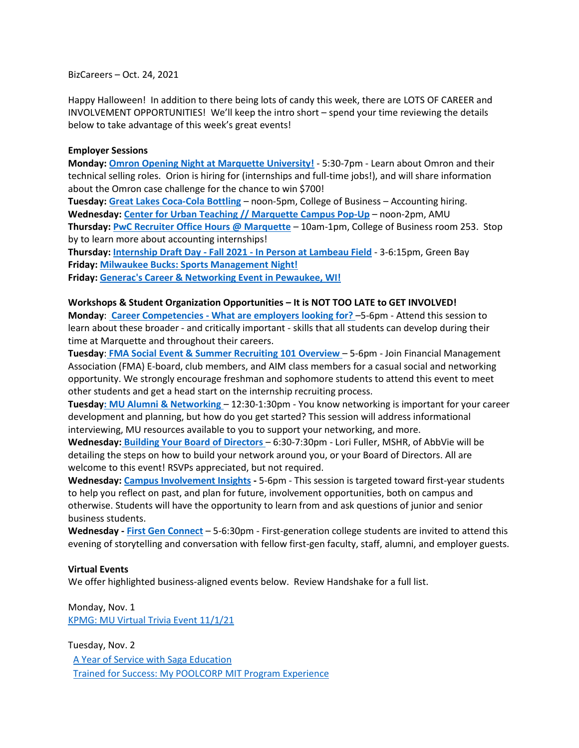BizCareers – Oct. 24, 2021

Happy Halloween! In addition to there being lots of candy this week, there are LOTS OF CAREER and INVOLVEMENT OPPORTUNITIES! We'll keep the intro short – spend your time reviewing the details below to take advantage of this week's great events!

## **Employer Sessions**

**Monday: [Omron Opening Night at Marquette University!](https://marquette.joinhandshake.com/events/886718/share_preview)** - 5:30-7pm - Learn about Omron and their technical selling roles. Orion is hiring for (internships and full-time jobs!), and will share information about the Omron case challenge for the chance to win \$700!

**Tuesday: [Great Lakes Coca-Cola Bottling](https://marquette.joinhandshake.com/events/886076/share_preview)** – noon-5pm, College of Business – Accounting hiring. **Wednesday: [Center for Urban Teaching // Marquette Campus Pop-Up](https://marquette.joinhandshake.com/events/809017/share_preview)** – noon-2pm, AMU

**Thursday: [PwC Recruiter Office Hours @ Marquette](https://marquette.joinhandshake.com/events/889479/share_preview)** – 10am-1pm, College of Business room 253. Stop by to learn more about accounting internships!

**Thursday: Internship Draft Day - Fall 2021 - [In Person at Lambeau Field](https://marquette.joinhandshake.com/events/857349/share_preview)** - 3-6:15pm, Green Bay **Friday: [Milwaukee Bucks: Sports Management Night!](https://marquette.joinhandshake.com/events/876342/share_preview)**

**Friday: [Generac's Career & Networking Event in Pewaukee, WI!](https://marquette.joinhandshake.com/events/888432/share_preview)**

## **Workshops & Student Organization Opportunities – It is NOT TOO LATE to GET INVOLVED!**

**Monday**: **Career Competencies - [What are employers looking for?](https://marquette.joinhandshake.com/events/788746/share_preview)** –5-6pm - Attend this session to learn about these broader - and critically important - skills that all students can develop during their time at Marquette and throughout their careers.

**Tuesday**: **[FMA Social Event & Summer Recruiting 101 Overview](https://marquette.joinhandshake.com/events/889207/share_preview)** – 5-6pm - Join Financial Management Association (FMA) E-board, club members, and AIM class members for a casual social and networking opportunity. We strongly encourage freshman and sophomore students to attend this event to meet other students and get a head start on the internship recruiting process.

**Tuesday: [MU Alumni & Networking](https://marquette.joinhandshake.com/events/788742/share_preview)** – 12:30-1:30pm - You know networking is important for your career development and planning, but how do you get started? This session will address informational interviewing, MU resources available to you to support your networking, and more.

**Wednesday: [Building Your Board of Directors](https://marquette.joinhandshake.com/events/891436/share_preview)** – 6:30-7:30pm - Lori Fuller, MSHR, of AbbVie will be detailing the steps on how to build your network around you, or your Board of Directors. All are welcome to this event! RSVPs appreciated, but not required.

**Wednesday: [Campus Involvement Insights](https://marquette.joinhandshake.com/events/788752/share_preview) -** 5-6pm - This session is targeted toward first-year students to help you reflect on past, and plan for future, involvement opportunities, both on campus and otherwise. Students will have the opportunity to learn from and ask questions of junior and senior business students.

**Wednesday - [First Gen Connect](https://marquette.joinhandshake.com/events/788766/share_preview)** – 5-6:30pm - First-generation college students are invited to attend this evening of storytelling and conversation with fellow first-gen faculty, staff, alumni, and employer guests.

## **Virtual Events**

We offer highlighted business-aligned events below. Review Handshake for a full list.

Monday, Nov. 1 [KPMG: MU Virtual Trivia Event 11/1/21](https://marquette.joinhandshake.com/events/890720/share_preview)

Tuesday, Nov. 2 [A Year of Service with Saga Education](https://marquette.joinhandshake.com/events/891216/share_preview)  [Trained for Success: My POOLCORP](https://marquette.joinhandshake.com/events/879911/share_preview) MIT Program Experience